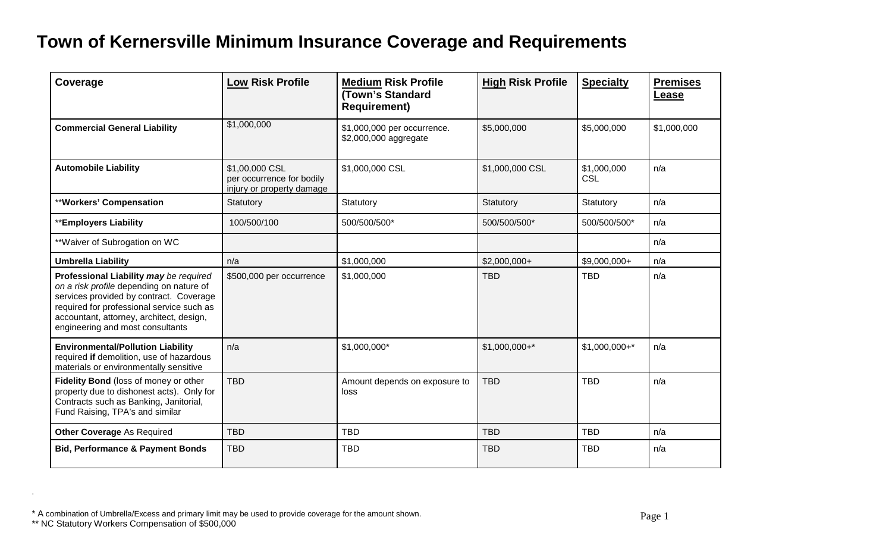## **Town of Kernersville Minimum Insurance Coverage and Requirements**

| Coverage                                                                                                                                                                                                                                                   | <b>Low Risk Profile</b>                                                  | <b>Medium Risk Profile</b><br>(Town's Standard<br><b>Requirement)</b> | <b>High Risk Profile</b> | <b>Specialty</b>          | <b>Premises</b><br><b>Lease</b> |
|------------------------------------------------------------------------------------------------------------------------------------------------------------------------------------------------------------------------------------------------------------|--------------------------------------------------------------------------|-----------------------------------------------------------------------|--------------------------|---------------------------|---------------------------------|
| <b>Commercial General Liability</b>                                                                                                                                                                                                                        | \$1,000,000                                                              | \$1,000,000 per occurrence.<br>\$2,000,000 aggregate                  | \$5,000,000              | \$5,000,000               | \$1,000,000                     |
| <b>Automobile Liability</b>                                                                                                                                                                                                                                | \$1,00,000 CSL<br>per occurrence for bodily<br>injury or property damage | \$1,000,000 CSL                                                       | \$1,000,000 CSL          | \$1,000,000<br><b>CSL</b> | n/a                             |
| **Workers' Compensation                                                                                                                                                                                                                                    | Statutory                                                                | Statutory                                                             | Statutory                | Statutory                 | n/a                             |
| **Employers Liability                                                                                                                                                                                                                                      | 100/500/100                                                              | 500/500/500*                                                          | 500/500/500*             | 500/500/500*              | n/a                             |
| ** Waiver of Subrogation on WC                                                                                                                                                                                                                             |                                                                          |                                                                       |                          |                           | n/a                             |
| <b>Umbrella Liability</b>                                                                                                                                                                                                                                  | n/a                                                                      | \$1,000,000                                                           | $$2,000,000+$            | \$9,000,000+              | n/a                             |
| Professional Liability may be required<br>on a risk profile depending on nature of<br>services provided by contract. Coverage<br>required for professional service such as<br>accountant, attorney, architect, design,<br>engineering and most consultants | \$500,000 per occurrence                                                 | \$1,000,000                                                           | <b>TBD</b>               | <b>TBD</b>                | n/a                             |
| <b>Environmental/Pollution Liability</b><br>required if demolition, use of hazardous<br>materials or environmentally sensitive                                                                                                                             | n/a                                                                      | \$1,000,000*                                                          | $$1,000,000+$ *          | $$1,000,000+*$            | n/a                             |
| Fidelity Bond (loss of money or other<br>property due to dishonest acts). Only for<br>Contracts such as Banking, Janitorial,<br>Fund Raising, TPA's and similar                                                                                            | <b>TBD</b>                                                               | Amount depends on exposure to<br>loss                                 | <b>TBD</b>               | <b>TBD</b>                | n/a                             |
| <b>Other Coverage As Required</b>                                                                                                                                                                                                                          | <b>TBD</b>                                                               | <b>TBD</b>                                                            | <b>TBD</b>               | <b>TBD</b>                | n/a                             |
| <b>Bid, Performance &amp; Payment Bonds</b>                                                                                                                                                                                                                | <b>TBD</b>                                                               | <b>TBD</b>                                                            | <b>TBD</b>               | <b>TBD</b>                | n/a                             |

\* A combination of Umbrella/Excess and primary limit may be used to provide coverage for the amount shown.<br>\*\* NC Statutory Workers Compensation of \$500,000

.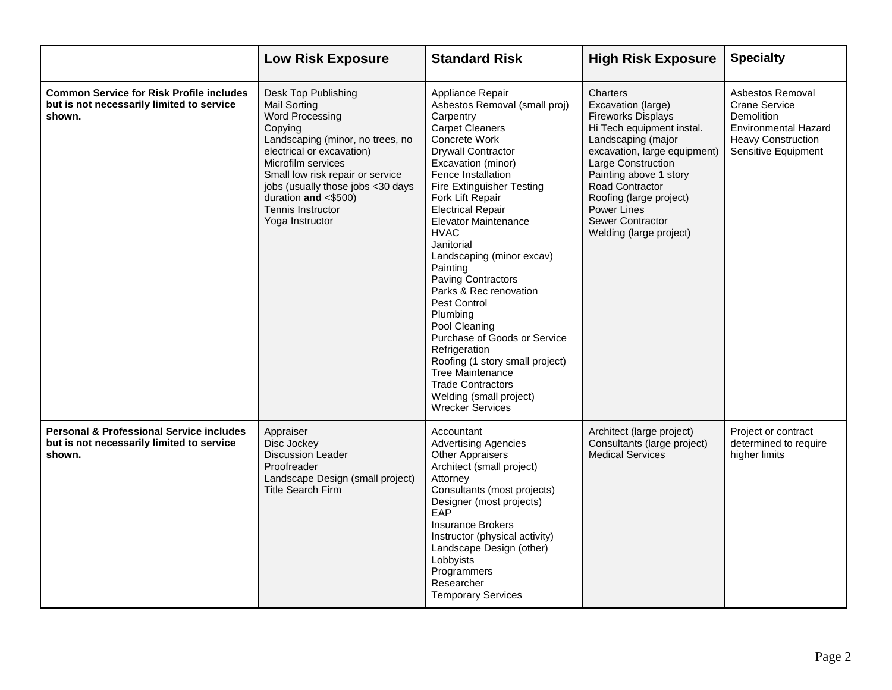|                                                                                                            | <b>Low Risk Exposure</b>                                                                                                                                                                                                                                                                                          | <b>Standard Risk</b>                                                                                                                                                                                                                                                                                                                                                                                                                                                                                                                                                                                                                                               | <b>High Risk Exposure</b>                                                                                                                                                                                                                                                                                         | <b>Specialty</b>                                                                                                                                 |
|------------------------------------------------------------------------------------------------------------|-------------------------------------------------------------------------------------------------------------------------------------------------------------------------------------------------------------------------------------------------------------------------------------------------------------------|--------------------------------------------------------------------------------------------------------------------------------------------------------------------------------------------------------------------------------------------------------------------------------------------------------------------------------------------------------------------------------------------------------------------------------------------------------------------------------------------------------------------------------------------------------------------------------------------------------------------------------------------------------------------|-------------------------------------------------------------------------------------------------------------------------------------------------------------------------------------------------------------------------------------------------------------------------------------------------------------------|--------------------------------------------------------------------------------------------------------------------------------------------------|
| <b>Common Service for Risk Profile includes</b><br>but is not necessarily limited to service<br>shown.     | Desk Top Publishing<br><b>Mail Sorting</b><br>Word Processing<br>Copying<br>Landscaping (minor, no trees, no<br>electrical or excavation)<br>Microfilm services<br>Small low risk repair or service<br>jobs (usually those jobs <30 days<br>duration and $< $500)$<br><b>Tennis Instructor</b><br>Yoga Instructor | Appliance Repair<br>Asbestos Removal (small proj)<br>Carpentry<br><b>Carpet Cleaners</b><br>Concrete Work<br><b>Drywall Contractor</b><br>Excavation (minor)<br>Fence Installation<br>Fire Extinguisher Testing<br>Fork Lift Repair<br><b>Electrical Repair</b><br>Elevator Maintenance<br><b>HVAC</b><br>Janitorial<br>Landscaping (minor excav)<br>Painting<br><b>Paving Contractors</b><br>Parks & Rec renovation<br>Pest Control<br>Plumbing<br>Pool Cleaning<br>Purchase of Goods or Service<br>Refrigeration<br>Roofing (1 story small project)<br><b>Tree Maintenance</b><br><b>Trade Contractors</b><br>Welding (small project)<br><b>Wrecker Services</b> | Charters<br>Excavation (large)<br><b>Fireworks Displays</b><br>Hi Tech equipment instal.<br>Landscaping (major<br>excavation, large equipment)<br>Large Construction<br>Painting above 1 story<br>Road Contractor<br>Roofing (large project)<br>Power Lines<br><b>Sewer Contractor</b><br>Welding (large project) | Asbestos Removal<br><b>Crane Service</b><br><b>Demolition</b><br><b>Environmental Hazard</b><br><b>Heavy Construction</b><br>Sensitive Equipment |
| <b>Personal &amp; Professional Service includes</b><br>but is not necessarily limited to service<br>shown. | Appraiser<br>Disc Jockey<br>Discussion Leader<br>Proofreader<br>Landscape Design (small project)<br><b>Title Search Firm</b>                                                                                                                                                                                      | Accountant<br><b>Advertising Agencies</b><br><b>Other Appraisers</b><br>Architect (small project)<br>Attorney<br>Consultants (most projects)<br>Designer (most projects)<br>EAP<br><b>Insurance Brokers</b><br>Instructor (physical activity)<br>Landscape Design (other)<br>Lobbyists<br>Programmers<br>Researcher<br><b>Temporary Services</b>                                                                                                                                                                                                                                                                                                                   | Architect (large project)<br>Consultants (large project)<br><b>Medical Services</b>                                                                                                                                                                                                                               | Project or contract<br>determined to require<br>higher limits                                                                                    |